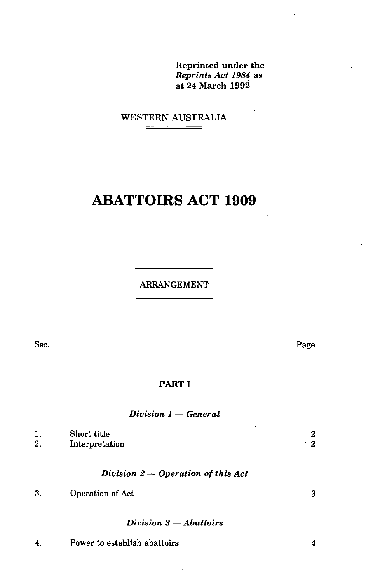Reprinted under the *Reprints Act 1984 as at* 24 March 1992

 $\mathcal{A}$ 

WESTERN AUSTRALIA 

## ABATTOIRS ACT 1909

ARRANGEMENT ARRANGEMENT<br>
Sec.<br>
Page

PART I

#### *Division 1 — General*

|          | Division 1 — General                 |                       |
|----------|--------------------------------------|-----------------------|
| 1.<br>2. | Short title<br>Interpretation        | 2<br>$\boldsymbol{2}$ |
|          | Division $2$ – Operation of this Act |                       |
| 3.       | Operation of Act                     | 3                     |
|          | Division $3 -$ Abattoirs             |                       |
| 4.       | Power to establish abattoirs         | 4                     |
|          |                                      |                       |

#### *Division 2 — Operation of this Act*

#### *Division 3 — Abattoirs*

3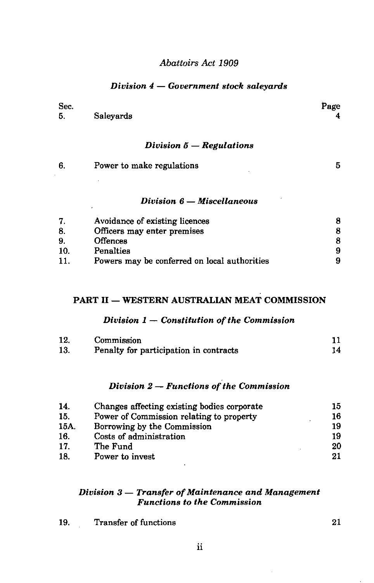#### *Division 4 — Government stock saleyards*

|            | <b>Abattoirs Act 1909</b>                            |          |  |  |  |
|------------|------------------------------------------------------|----------|--|--|--|
|            | Division 4 – Government stock saleyards              |          |  |  |  |
| Sec.       |                                                      | Page     |  |  |  |
| 5.         | Saleyards                                            | 4        |  |  |  |
|            | Division $5$ - Regulations                           |          |  |  |  |
| 6.         | Power to make regulations                            | 5        |  |  |  |
|            |                                                      |          |  |  |  |
|            | Division $6$ - Miscellaneous                         |          |  |  |  |
| 7.         | Avoidance of existing licences                       | 8        |  |  |  |
| 8.<br>9.   | Officers may enter premises<br><b>Offences</b>       | 8<br>8   |  |  |  |
| 10.        | Penalties                                            | 9<br>9   |  |  |  |
| 11.        | Powers may be conferred on local authorities         |          |  |  |  |
|            | PART II - WESTERN AUSTRALIAN MEAT COMMISSION         |          |  |  |  |
|            | Division $1$ - Constitution of the Commission        |          |  |  |  |
|            |                                                      |          |  |  |  |
| 12.<br>13. | Commission<br>Penalty for participation in contracts | 11<br>14 |  |  |  |
|            |                                                      |          |  |  |  |
|            |                                                      |          |  |  |  |

#### PART II — WESTERN AUSTRALIAN MEAT COMMISSION

#### *Division 1 — Constitution of the Commission*

| 12. | Commission                             |    |
|-----|----------------------------------------|----|
| 13. | Penalty for participation in contracts | 14 |

#### *Division 2 — Functions of the Commission*

|                                                       | Division $1$ – Constitution of the Commission                                             |          |  |
|-------------------------------------------------------|-------------------------------------------------------------------------------------------|----------|--|
| 12.<br>13.                                            | Commission<br>Penalty for participation in contracts                                      | 11<br>14 |  |
|                                                       | Division $2$ – Functions of the Commission                                                |          |  |
| 14.                                                   | Changes affecting existing bodies corporate                                               | 15       |  |
| Power of Commission relating to property<br>16<br>15. |                                                                                           |          |  |
| 15A.                                                  | Borrowing by the Commission                                                               | 19       |  |
| 16.                                                   | Costs of administration                                                                   | 19       |  |
| 17.                                                   | The Fund                                                                                  | 20       |  |
| 18.                                                   | Power to invest                                                                           | 21       |  |
|                                                       | Division 3 - Transfer of Maintenance and Management<br><b>Functions to the Commission</b> |          |  |
| 19.                                                   | <b>Transfer of functions</b>                                                              | 21       |  |
|                                                       | ii                                                                                        |          |  |

#### *Division 3 — Transfer of Maintenance and Management Functions to the Commission*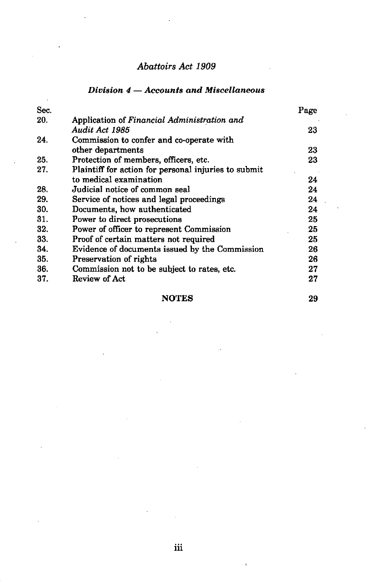#### *Division 4 — Accounts and Miscellaneous*

|      | <b>Abattoirs Act 1909</b>                            |      |
|------|------------------------------------------------------|------|
|      | Division 4 – Accounts and Miscellaneous              |      |
| Sec. |                                                      | Page |
| 20.  | Application of Financial Administration and          |      |
|      | Audit Act 1985                                       | 23   |
| 24.  | Commission to confer and co-operate with             |      |
|      | other departments                                    | 23   |
| 25.  | Protection of members, officers, etc.                | 23   |
| 27.  | Plaintiff for action for personal injuries to submit |      |
|      | to medical examination                               | 24   |
| 28.  | Judicial notice of common seal                       | 24   |
| 29.  | Service of notices and legal proceedings             | 24   |
| 30.  | Documents, how authenticated                         | 24   |
| 31.  | Power to direct prosecutions                         | 25   |
| 32.  | Power of officer to represent Commission             | 25   |
| 33.  | Proof of certain matters not required                | 25   |
| 34.  | Evidence of documents issued by the Commission       | 26   |
| 35.  | Preservation of rights                               | 26   |
| 36.  | Commission not to be subject to rates, etc.          | 27   |
| 37.  | Review of Act                                        | 27   |
|      | <b>NOTES</b>                                         | 29   |
|      |                                                      |      |
|      |                                                      |      |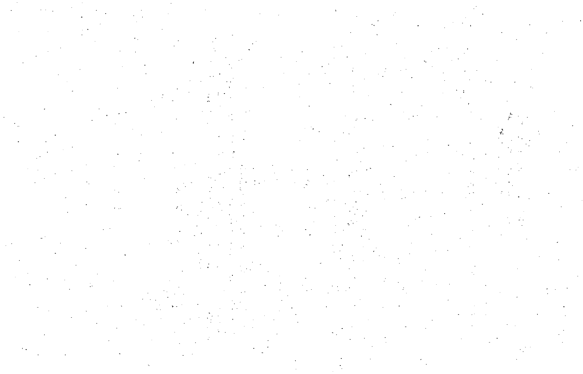$\sim 10^7$ 

 $\frac{1}{2} \frac{1}{2} \frac{1}{2} \frac{1}{2}$ 

 $\chi^2 \to \chi^2 \chi^2$ 

 $\mathcal{A}^{(2)}$  and  $\mathcal{A}^{(2)}$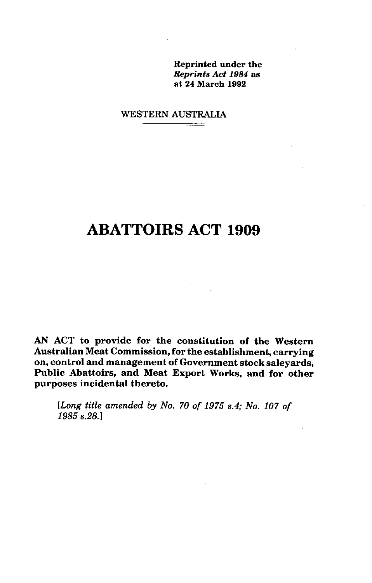Reprinted under the *Reprints Act 1984 as at* 24 March 1992

WESTERN AUSTRALIA

## ABATTOIRS ACT 1909

AN ACT to provide for the constitution of the Western Australian Meat Commission, for the establishment, carrying on, control and management of Government stock saleyards, Public Abattoirs, and Meat Export Works, and for other purposes incidental thereto.

*[Long title amended by No. 70 of 1975 s.4; No. 107 of 1985 s.28.]*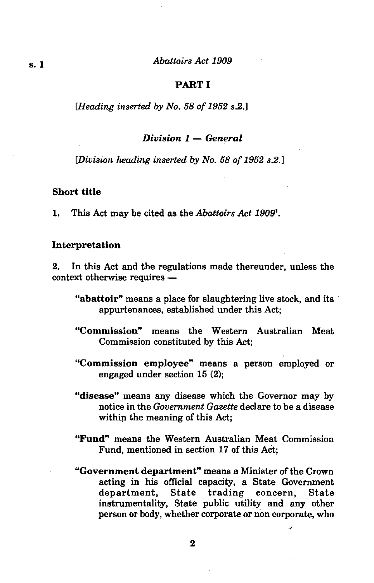#### **PART** I

*[Heading inserted by No. 58 of 1952 s.2.]*

#### *Division 1 — General*

*[Division heading inserted by No. 58 of 1952 s.2.]*

#### **Short title**

1. This Act may be cited as the *Abattoirs Act 1909'.*

#### **Interpretation**

2. In this Act and the regulations made thereunder, unless the context otherwise requires —

- "abattoir" *means a* place for slaughtering live stock, and its appurtenances, established under this Act;
- "Commission" means the Western Australian Meat Commission constituted by this Act;
- "Commission employee" means a person employed or engaged under section 15 (2);
- "disease" means any disease which the Governor may by notice in the *Government Gazette* declare to be a disease within the meaning of this Act;
- "Fund" means the Western Australian Meat Commission Fund, mentioned in section 17 of this Act;
- **"Government department"** means a Minister of the Crown acting in his official capacity, a State Government department, State trading concern, State instrumentality, State public utility and any other person or body, whether corporate or non corporate, who

4

s. 1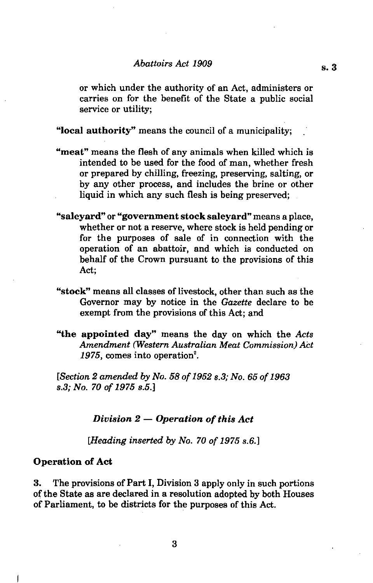*Abattoirs Act 1909*<br>der the authority of or which under the authority of an Act, administers or carries on for the benefit of the State a public social service or utility;

"local authority" means the council of a municipality;

- *"meat"* means the flesh of any animals when killed which is intended to be used for the food of man, whether fresh or prepared by chilling, freezing, preserving, salting, or by any other process, and includes the brine or other liquid in which any such flesh is being preserved;
- "saleyard" or "government stock saleyard" means a place, whether or not a reserve, where stock is held pending or for the purposes of sale of in connection with the operation of an abattoir, and which is conducted on behalf of the Crown pursuant to the provisions of this Act;
- "stock" means all classes of livestock, other than such as the Governor may by notice in the *Gazette* declare to be exempt from the provisions of this Act; and
- "the appointed day" means the day on which the *Acts Amendment (Western Australian Meat Commission) Act 1975,* comes into operation'.

*[Section 2 amended by No. 58 of 1952 s.3; No. 65 of 1963 s.3; No. 70 of 1975 s.5.]*

#### *Division 2 — Operation of this Act*

*[Heading inserted by No. 70 of 1975 s.6.]*

#### **Operation of Act**

3. The provisions of Part I, Division 3 apply only in such portions of the State as are declared in a resolution adopted by both Houses of Parliament, to be districts for the purposes of this Act.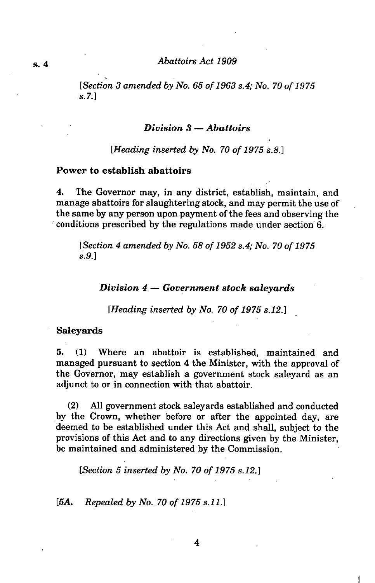*[Section 3 amended by No. 65 of 1963 s.4; No. 70 of 1975 8.7.]*

#### *Division 3 — Abattoirs*

*[Heading inserted by No. 70 of 1975 s.8.]*

#### Power to establish abattoirs

4. The Governor may, in any district, establish, maintain, and manage abattoirs for slaughtering stock, and may permit the use of the same by any person upon payment of the fees and observing the conditions prescribed by the regulations made under section 6.

*[Section 4 amended by No. 58 of 1952 s.4; No. 70 of 1975 8.9.]*

#### *Division 4 — Government stock saleyards*

*[Heading inserted by No. 70 of 1975 s.12.]*

#### Saleyards

5. (1) Where an abattoir is established, maintained and managed pursuant to section 4 the Minister, with the approval of the Governor, may establish a government stock saleyard as an adjunct to or in connection with that abattoir.

(2) All government stock saleyards established and conducted by the Crown, whether before or after the appointed day, are deemed to be established under this Act and shall, subject to the provisions of this Act and to any directions given by the Minister, be maintained and administered by the Commission.

*[Section 5 inserted by No. 70 of 1975 s.12.]*

[5A. *Repealed by No. 70 of 1975 s.11.1*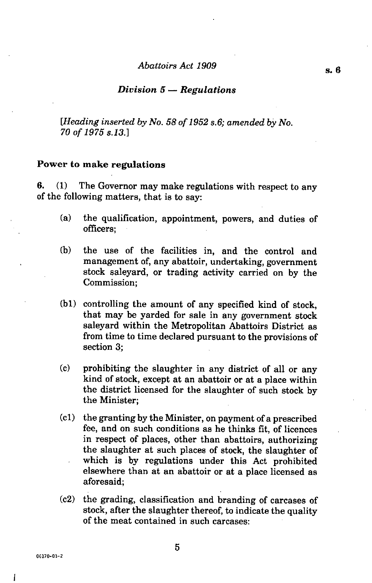# *Abattoirs Act 1909*<br>*sion 5 — Regulati Division 5 — Regulations*

*[Heading inserted by No. 58 of 1952 s.6; amended by No. 70 of 1975 s.13.1*

#### Power to make regulations

6. (1) The Governor may make regulations with respect to any of the following matters, that is to say:

- (a) the qualification, appointment, powers, and duties of officers;
- (b) the use of the facilities in, and the control and management of, any abattoir, undertaking, government stock saleyard, or trading activity carried on by the Commission;
- (bl) controlling the amount of any specified kind of stock, that may be yarded for sale in any government stock saleyard within the Metropolitan Abattoirs District as from time to time declared pursuant to the provisions of section 3;
- (c) prohibiting the slaughter in any district of all or any kind of stock, except at an abattoir or at a place within the district licensed for the slaughter of such stock by the Minister;
- (ci) the granting by the Minister, on payment of a prescribed fee, and on such conditions as he thinks fit, of licences in respect of places, other than abattoirs, authorizing the slaughter at such places of stock, the slaughter of which is by regulations under this Act prohibited elsewhere than at an abattoir or at a place licensed as aforesaid;
- (c2) the grading, classification and branding of carcases of stock, after the slaughter thereof, to indicate the quality of the meat contained in such carcases:

I

s. 6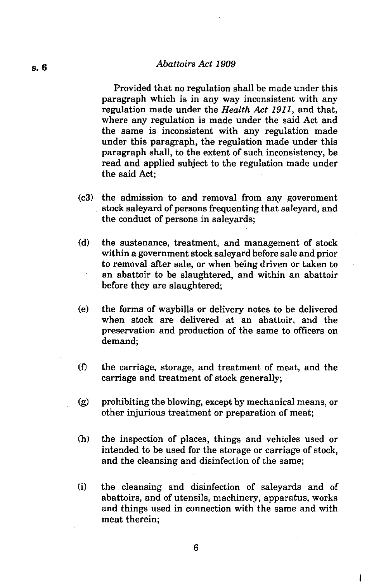Provided that no regulation shall be made under this paragraph which is in any way inconsistent with any regulation made under the *Health Act 1911,* and that, where any regulation is made under the said Act and the same is inconsistent with any regulation made under this paragraph, the regulation made under this paragraph shall, to the extent of such inconsistency, be read and applied subject to the regulation made under the said Act;

- (c3) the admission to and removal from any government stock saleyard of persons frequenting that saleyard, and the conduct of persons in saleyards;
- (d) the sustenance, treatment, and management of stock within a government stock saleyard before sale and prior to removal after sale, or when being driven or taken to an abattoir to be slaughtered, and within an abattoir before they are slaughtered;
- (e) the forms of waybills or delivery notes to be delivered when stock are delivered at an abattoir, and the preservation and production of the same to officers on demand;
- (f) the carriage, storage, and treatment of meat, and the carriage and treatment of stock generally;
- (g) prohibiting the blowing, except by mechanical means, or other injurious treatment or preparation of meat;
- (h) the inspection of places, things and vehicles used or intended to be used for the storage or carriage of stock, and the cleansing and disinfection of the same;
- (i) the cleansing and disinfection of saleyards and of abattoirs, and of utensils, machinery, apparatus, works and things used in connection with the same and with meat therein;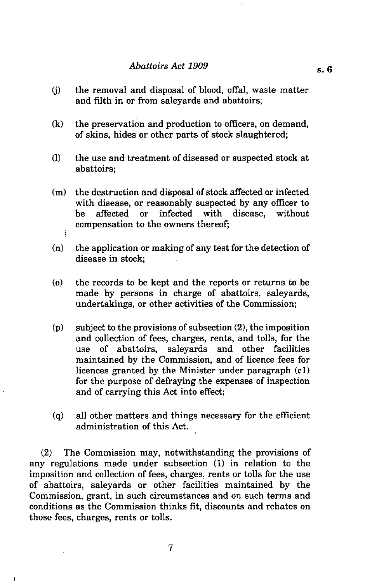- *Abattoirs Act 1909*<br>and disposal of blo (j) the removal and disposal of blood, offal, waste matter and filth in or from saleyards and abattoirs;
- (k) the preservation and production to officers, on demand, of skins, hides or other parts of stock slaughtered;
- (1) the use and treatment of diseased or suspected stock at abattoirs;
- (m) the destruction and disposal of stock affected or infected with disease, or reasonably suspected by any officer to be affected or infected with disease, without compensation to the owners thereof; ì.
- (n) the application or making of any test for the detection of disease in stock;
- (o) the records to be kept and the reports or returns to be made by persons in charge of abattoirs, saleyards, undertakings, or other activities of the Commission;
- (p) subject to the provisions of subsection (2), the imposition and collection of fees, charges, rents, and tolls, for the use of abattoirs, saleyards and other facilities maintained by the Commission, and of licence fees for licences granted by the Minister under paragraph (c1) for the purpose of defraying the expenses of inspection and of carrying this Act into effect;
- (q) all other matters and things necessary for the efficient administration of this Act.

(2) The Commission may, notwithstanding the provisions of any regulations made under subsection (1) in relation to the imposition and collection of fees, charges, rents or tolls for the use of abattoirs, saleyards or other facilities maintained by the Commission, grant, in such circumstances and on such terms and conditions as the Commission thinks fit, discounts and rebates on those fees, charges, rents or tolls.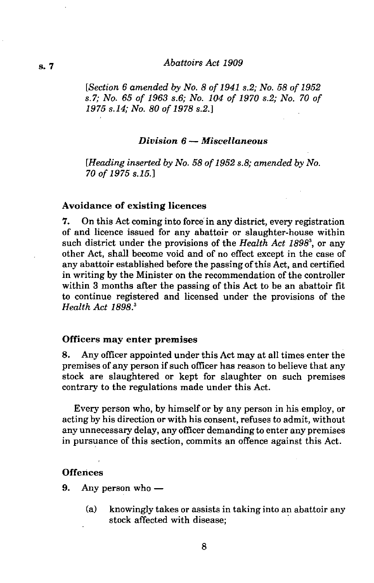*[Section 6 amended by No. 8 of 1941 s.2; No. 58 of 1952 s.7; No. 65 of 1963 s.6; No. 104 of 1970 s.2; No. 70 of 1975 s.14; No. 80 of 1978 s.2.]*

#### *Division 6 — Miscellaneous*

*[Heading inserted by No. 58 of 1952 s.8; amended by No. 70 of 1975 s.15.]*

#### Avoidance of existing licences

7. On this Act coming into force in any district, every registration of and licence issued for any abattoir or slaughter-house within such district under the provisions of the *Health Act 1898',* or any other Act, shall become void and of no effect except in the case of any abattoir established before the passing of this Act, and certified in writing by the Minister on the recommendation of the controller within 3 months after the passing of this Act to be an abattoir fit to continue registered and licensed under the provisions of the *Health Act 1898.3*

#### Officers may enter premises

8. Any officer appointed under this Act may at all times enter the premises of any person if such officer has reason to believe that any stock are slaughtered or kept for slaughter on such premises contrary to the regulations made under this Act.

Every person who, by himself or by any person in his employ, or acting by his direction or with his consent, refuses to admit, without any unnecessary delay, any officer demanding to enter any premises in pursuance of this section, commits an offence against this Act.

#### **Offences**

- 9. Any person who
	- (a) knowingly takes or assists in taking into an abattoir any stock affected with disease;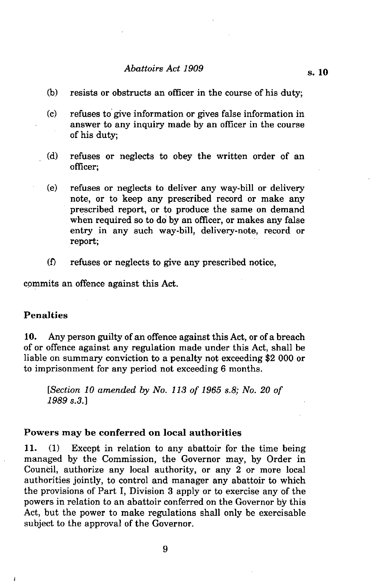- *Abattoirs Act 1909*<br>structs an officer in (b) resists or obstructs an officer in the course of his duty;
- (c) refuses to give information or gives false information in answer to any inquiry made by an officer in the course of his duty;
- (d) refuses or neglects to obey the written order of an officer;
- (e) refuses or neglects to deliver any way-bill or delivery note, or to keep any prescribed record or make any prescribed report, or to produce the same on demand when required so to do by an officer, or makes any false entry in any such way-bill, delivery-note, record or report;
- (f) refuses or neglects to give any prescribed notice,

commits an offence against this Act.

#### Penalties

10. Any person guilty of an offence against this Act, or of a breach of or offence against any regulation made under this Act, shall be liable on summary conviction to a penalty not exceeding \$2 000 or to imprisonment for any period not exceeding 6 months.

*[Section 10 amended by No. 113 of 1965 s.8; No. 20 of 1989 s.3.]*

#### Powers may be conferred on local authorities

11. (1) Except in relation to any abattoir for the time being managed by the Commission, the Governor may, by Order in Council, authorize any local authority, or any 2 or more local authorities jointly, to control and manager any abattoir to which the provisions of Part I, Division 3 apply or to exercise any of the powers in relation to an abattoir conferred on the Governor by this Act, but the power to make regulations shall only be exercisable subject to the approval of the Governor.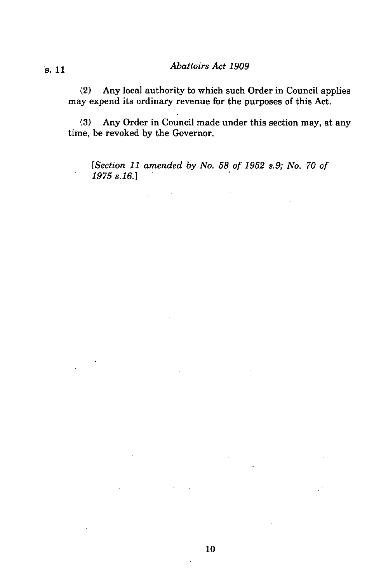(2) Any local authority to which such Order in Council applies may expend *its* ordinary revenue for the purposes of this Act.

(3) Any Order in Council made under this section may, at any time, be revoked by the Governor.

*[Section 11 amended by No. 58 of 1952 s.9; No. 70 of 1975 s.161*

 $\mathcal{L}_{\text{max}}$  , and  $\mathcal{L}_{\text{max}}$ 

s. 11

 $\sim 10$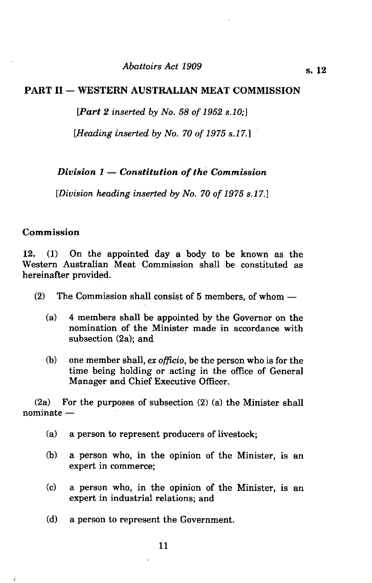# *Abattoirs Act 1909*  PART II — **WESTERN AUSTRALIAN MEAT COMMISSION**

*[Part 2 inserted by No. 58 of 1952 s.10;]*

*[Heading inserted by No. 70 of 1975 s.17.]*

*Division 1 — Constitution of the Commission*

*[Division heading inserted by No. 70 of 1975 s.17.]*

#### Commission

12. (1) On the appointed day a body to be known as the Western Australian Meat Commission shall be constituted as hereinafter provided.

- (2) The Commission shall consist of 5 members, of whom
	- (a) 4 members shall be appointed by the Governor on the nomination of the Minister made in accordance with subsection (2a); and
	- (b) one member shall, ex *officio,* be the person who is for the time being holding or acting in the office of General Manager and Chief Executive Officer.

*(2a)* For the purposes of subsection (2) (a) the Minister shall nominate —

- (a) a person to represent producers of livestock;
- (b) a person who, in the opinion of the Minister, is an expert in commerce;
- (c) a person who, in the opinion of the Minister, is an expert in industrial relations; and
- (d) a person to represent the Government.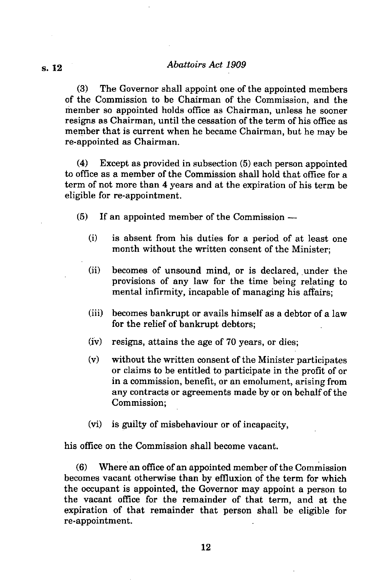(3) The Governor shall appoint one of the appointed members of the Commission to be Chairman of the Commission, and the member so appointed holds office as Chairman, unless he sooner resigns as Chairman, until the cessation of the term of his office as member that is current when he became Chairman, but he may be re-appointed as Chairman.

(4) Except as provided in subsection (5) each person appointed to office as a member of the Commission shall hold that office for a term of not more than 4 years and at the expiration of his term be eligible for re-appointment.

- (5) If an appointed member of the Commission
	- (i) is absent from his duties for a period of at least one month without the written consent of the Minister;
	- (ii) becomes of unsound mind, or is declared, under the provisions of any law for the time being relating to mental infirmity, incapable of managing his affairs;
	- (iii) becomes bankrupt or avails himself as a debtor of *a* law for the relief of bankrupt debtors;
	- (iv) resigns, attains the age of 70 years, or dies;
	- (v) without the written consent of the Minister participates or claims to be entitled to participate in the profit of or in a commission, benefit, or an emolument, arising from any contracts or agreements made by or on behalf of the Commission;
	- (vi) is guilty of misbehaviour or of incapacity,

his office on the Commission shall become vacant.

(6) Where an office of an appointed member of the Commission becomes vacant otherwise than by effluxion of the term for which the occupant is appointed, the Governor may appoint a person to the vacant office for the remainder of that term, and at the expiration of that remainder that person shall be eligible for re-appointment.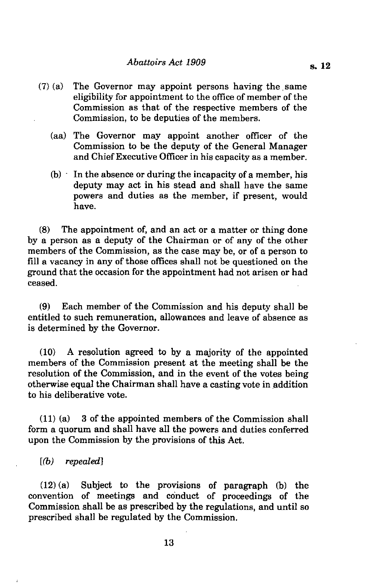- *Abattoirs Act 1909*<br>
or may appoint per (7) (a) The Governor may appoint persons having the same eligibility for appointment to the office of member of the Commission as that of the respective members of the Commission, to be deputies of the members.
	- (aa) The Governor may appoint another officer of the Commission to be the deputy of the General Manager and Chief Executive Officer in his capacity as a member.
	- $(b)$  In the absence or during the incapacity of a member, his deputy may act in his stead and shall have the same powers and duties as the member, if present, would have.

(8) The appointment of, and an act or a matter or thing done by a person as a deputy of the Chairman or of any of the other members of the Commission, as the case may be, or of a person to fill a vacancy in any of those offices shall not be questioned on the ground that the occasion for the appointment had not arisen or had ceased.

(9) Each member of the Commission and his deputy shall be entitled to such remuneration, allowances and leave of absence as is determined by the Governor.

(10) A resolution agreed to by a majority of the appointed members of the Commission present at the meeting shall be the resolution of the Commission, and in the event of the votes being otherwise equal the Chairman shall have *a* casting vote in addition to his deliberative vote.

*(11) (a)* 3 of the appointed members of the Commission shall form a quorum and shall have all the powers and duties conferred upon the Commission by the provisions of this Act.

[(b) *repealed]*

(12) (a) Subject to the provisions of paragraph (b) the convention of meetings and conduct of proceedings of the Commission shall be as prescribed by the regulations, and until so prescribed shall be regulated by the Commission.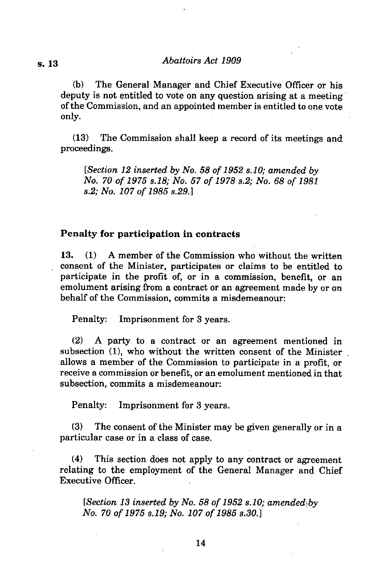(b) The General Manager and Chief Executive Officer or his deputy is not entitled to vote on any question arising at a meeting of the Commission, and an appointed member is entitled to one vote only.

(13) The Commission shall keep a record of its meetings and proceedings.

*[Section 12 inserted by No. 58 of 1952 s.10; amended by No. 70 of 1975 s.18; No. 57 of 1978 s.2; No. 68 of 1981 s.2; No. 107 of 1985 s.29.1*

#### Penalty for participation in contracts

**13.** (1) A member of the Commission who without the written consent of the Minister, participates or claims to be entitled to participate in the profit of, or in a commission, benefit, or an emolument arising from a contract or an agreement made by or on behalf of the Commission, commits a misdemeanour:

Penalty: Imprisonment for 3 years.

(2) A party to a contract or an agreement mentioned in subsection (1), who without the written consent of the Minister allows a member of the Commission to participate in a profit, or receive a commission or benefit, or an emolument mentioned in that subsection, commits a misdemeanour:

Penalty: Imprisonment for 3 years.

(3) The consent of the Minister may be given generally or in a particular case or in a class of case.

(4) This section does not apply to any contract or agreement relating to the employment of the General Manager and Chief Executive Officer.

*[Section 13 inserted by No. 58 of 1952 s.10; amendediby No. 70* of *1975 s.19; No. 107* of *1985 s.30.]*

s. 13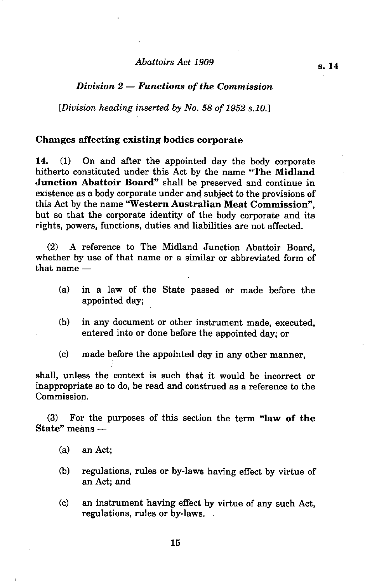# *Abattoirs Act 1909*<br>*Functions of the Division 2 — Functions of the Commission*

*[Division heading inserted by No. 58 of 1952 s.10.]*

#### Changes affecting existing bodies corporate

14. (1) On and after the appointed day the body corporate hitherto constituted under this Act by the name "The Midland Junction Abattoir Board" shall be preserved and continue in existence as a body corporate under and subject to the provisions of this Act by the name "Western Australian Meat Commission", but so that the corporate identity of the body corporate and its rights, powers, functions, duties and liabilities are not affected.

(2) A reference to The Midland Junction Abattoir Board, whether by use of that name or a similar or abbreviated form of that name —

- (a) in a law of the State passed or made before the appointed day;
- (b) in any document or other instrument made, executed, entered into or done before the appointed day; or
- (c) made before the appointed day in any other manner,

shall, unless the context is such that it would be incorrect or inappropriate so to do, be read and construed as a reference to the Commission.

(3) For the purposes of this section the term "law **of the** State" means —

- (b) regulations, rules or by-laws having effect by virtue of an Act; and
- (c) an instrument having effect by virtue of any such Act, regulations, rules or by-laws.

<sup>(</sup>a) an Act;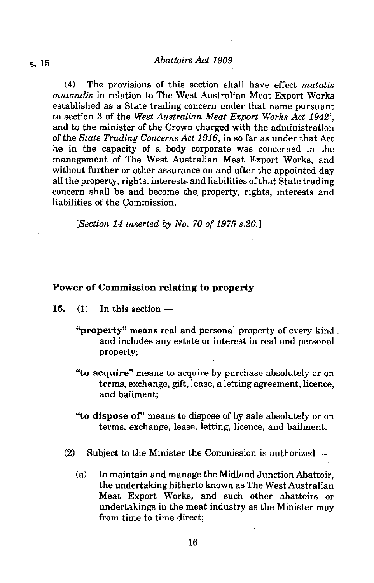(4) The provisions of this section shall have effect *mutatis mutandis* in relation to The West Australian Meat Export Works established as a State trading concern under that name pursuant to section 3 of the *West Australian Meat Export Works Act 1942 ,* and to the minister of the Crown charged with the administration of the *State Trading Concerns Act 1916, in* so far as under that Act he in the capacity of a body corporate was concerned in the management of The West Australian Meat Export Works, and without further or other assurance on and after the appointed day all the property, rights, interests and liabilities of that State trading concern shall be and become the property, rights, interests and liabilities of the Commission.

*[Section 14 inserted by No. 70 of 1975 s.20.]*

#### Power of Commission relating to property

- **15.** (1) In this section
	- "property" means real and personal property of every kind and includes any estate or interest in real and personal property;
	- "to acquire" means to acquire by purchase absolutely or on terms, exchange, gift, lease, a letting agreement, licence, and bailment;
	- "to dispose of" means to dispose of by sale absolutely or on terms, exchange, lease, letting, licence, and bailment.
	- (2) Subject to the Minister the Commission is authorized
		- (a) to maintain and manage the Midland Junction Abattoir, the undertaking hitherto known as The West Australian Meat Export Works, and such other abattoirs or undertakings in the meat industry as the Minister may from time to time direct;

16

s. 15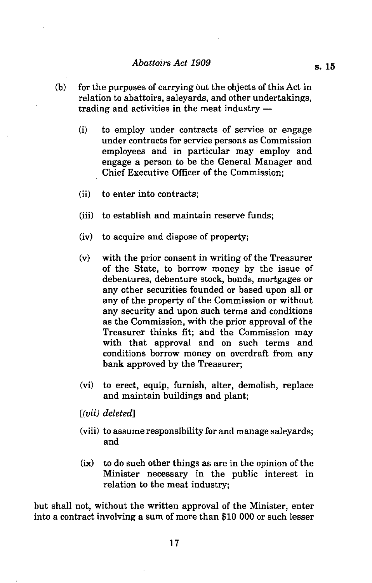- *Abattoirs Act 1909*  (b) for the purposes of carrying out the objects of this Act in relation to abattoirs, saleyards, and other undertakings, trading and activities in the meat industry —
	- (i) to employ under contracts of service or engage under contracts for service persons as Commission employees and in particular may employ and engage a person to be the General Manager and Chief Executive Officer of the Commission;
	- (ii) to enter into contracts;
	- (iii) to establish and maintain reserve funds;
	- (iv) to acquire and dispose of property;
	- (v) with the prior consent in writing of the Treasurer of the State, to borrow money by the issue of debentures, debenture stock, bonds, mortgages or any other securities founded or based upon all or any of the property of the Commission or without any security and upon such terms and conditions as the Commission, with the prior approval of the Treasurer thinks fit; and the Commission may with that approval and on such terms and conditions borrow money on overdraft from any bank approved by the Treasurer;
	- (vi) to erect, equip, furnish, alter, demolish, replace and maintain buildings and plant;
	- *[(vii) deleted]*
	- (viii) to assume responsibility for and manage saleyards; and
	- (ix) to do such other things as are in the opinion of the Minister necessary in the public interest in relation to the meat industry;

but shall not, without the written approval of the Minister, enter into a contract involving a sum of more than \$10 000 or such lesser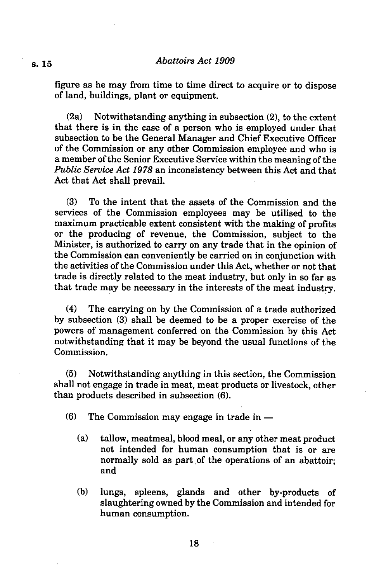figure as he may from time to time direct to acquire or to dispose of land, buildings, plant or equipment.

(2a) Notwithstanding anything in subsection (2), to the extent that there is in the case of a person who is employed under that subsection to be the General Manager and Chief Executive Officer of the Commission or any other Commission employee and who is a member of the Senior Executive Service within the meaning of the *Public Service Act 1978 an* inconsistency between this Act and that Act that Act shall prevail.

(3) To the intent that the assets of the Commission and the services of the Commission employees may be utilised to the maximum practicable extent consistent with the making of profits or the producing of revenue, the Commission, subject to the Minister, is authorized to carry on any trade that in the opinion of the Commission can conveniently be carried on in conjunction with the activities of the Commission under this Act, whether or not that trade is directly related to the meat industry, but only in so far as that trade may be necessary in the interests of the meat industry.

(4) The carrying on by the Commission of a trade authorized by subsection (3) shall be deemed to be a proper exercise of the powers of management conferred on the Commission by this Act notwithstanding that it may be beyond the usual functions of the Commission.

(5) Notwithstanding anything in this section, the Commission shall not engage in trade in meat, meat products or livestock, other than products described in subsection (6).

(6) The Commission may engage in trade in —

- (a) tallow, meatmeal, blood meal, or any other meat product not intended for human consumption that is or are normally sold as part of the operations of an abattoir; and
- (b) lungs, spleens, glands and other by-products of slaughtering owned by the Commission and intended for human consumption.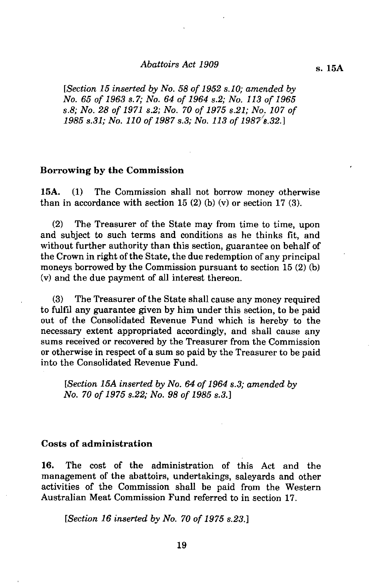*Abattoirs Act 1909*<br>*d by No. 58 of 1952 [Section 15 inserted by No. 58 of 1952 s.10; amended by No. 65 of 1963 8.7; No. 64 of 1964 s.2; No. 113 of 1965 s.8; No. 28 of 1971 s.2; No. 70 of 1975 s.21; No. 107 of 1985 s.31; No. 110 of 1987 s.3; No. 113 of 1987/8.32.]*

#### Borrowing by the Commission

15A. (1) The Commission shall not borrow money otherwise than in accordance with section 15  $(2)$  (b) (v) or section 17  $(3)$ .

(2) The Treasurer of the State may from time to time, upon and subject to such terms and conditions as he thinks fit, and without further authority than this section, guarantee on behalf of the Crown in right of the State, the due redemption of any principal moneys borrowed by the Commission pursuant to section 15 (2) (b) (v) and the due payment of all interest thereon.

(3) The Treasurer of the State shall cause any money required to fulfil any guarantee given by him under this section, to be paid out of the Consolidated Revenue Fund which is hereby to the necessary extent appropriated accordingly, and shall cause any sums received or recovered by the Treasurer from the Commission or otherwise in respect of a sum so paid by the Treasurer to be paid into the Consolidated Revenue Fund.

*[Section 15A inserted by No. 64 of 1964 s.3; amended by No. 70 of 1975 s.22; No. 98 of 1985 s.3.]*

#### Costs of administration

16. The cost of the administration of this Act and the management of the abattoirs, undertakings, saleyards and other activities of the Commission shall be paid from the Western Australian Meat Commission Fund referred to in section 17.

*[Section 16 inserted by No. 70 of 1975 s.23.]*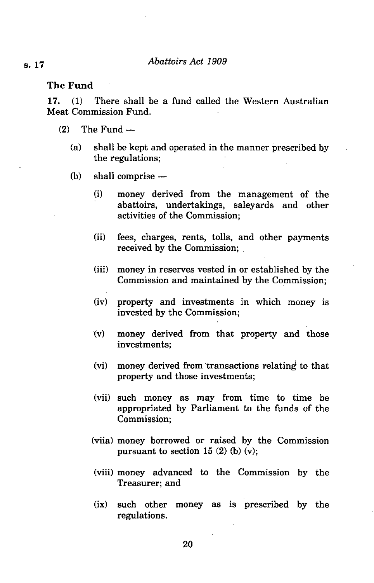The Fund

17. (1) There shall be a fund called the Western Australian Meat Commission Fund.

- $(2)$  The Fund
	- (a) shall be kept and operated in the manner prescribed by the regulations;
	- (b) shall comprise
		- (i) money derived from the management of the abattoirs, undertakings, saleyards and other activities of the Commission;
		- (ii) fees, charges, rents, tolls, and other payments received by the Commission;
		- (iii) money in reserves vested in or established by the Commission and maintained by the Commission;
		- (iv) property and investments in which money is invested by the Commission;
		- (v) money derived from that property and those investments;
		- (vi) money derived from transactions relating to that property and those investments;
		- (vii) such money as may from time to time be appropriated by Parliament to the funds of the Commission;
		- (viia) money borrowed or raised by the Commission pursuant to section 15 $(2)$  $(b)$  $(v)$ ;
		- (viii) money advanced to the Commission by the Treasurer; and
		- (ix) such other money as is prescribed by the regulations.

s. 17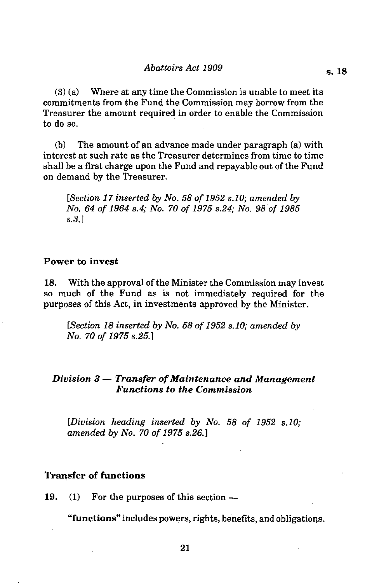*Abattoirs Act 1909*<br>y time the Commissi (3) (a) Where at any time the Commission is unable to meet its commitments from the Fund the Commission may borrow from the Treasurer the amount required in order to enable the Commission to do so.

(b) The amount of an advance made under paragraph (a) with interest at such rate as the Treasurer determines from time to time shall be a first charge upon the Fund and repayable out of the Fund on demand by the Treasurer.

*[Section 17 inserted by No. 58 of 1952 s.10; amended by No. 64 of 1964 s.4; No. 70 of 1975 s.24; No. 98 of 1985 s.3.]*

#### Power to invest

18. With the approval of the Minister the Commission may invest so much of the Fund as is not immediately required for the purposes of this Act, in investments approved by the Minister.

*[Section 18 inserted by No. 58 of 1952 s.10; amended by No. 70 of 1975 s.25.]*

#### *Division 3 — Transfer of Maintenance and Management Functions to the Commission*

*[Division heading inserted by No. 58 of 1952 s.10; amended by No. 70 of 1975 s.26.]*

#### Transfer of functions

19. (1) For the purposes of this section —

"functions" includes powers, rights, benefits, and obligations.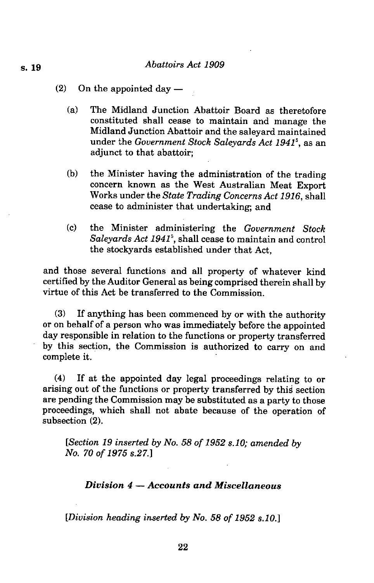- (2) On the appointed day
	- (a) The Midland Junction Abattoir Board as theretofore constituted shall cease to maintain and manage the Midland Junction Abattoir and the saleyard maintained under the *Government Stock Saleyards Act 1941 <sup>5</sup> ,* as an adjunct to that abattoir;
	- (b) the Minister having the administration of the trading concern known as the West Australian Meat Export Works under the *State Trading Concerns Act 1916,* shall cease to administer that undertaking; and
	- (c) the Minister administering the *Government Stock Saleyards Act 1941 <sup>5</sup> ,* shall cease to maintain and control the stockyards established under that Act,

and those several functions and all property of whatever kind certified by the Auditor General as being comprised therein shall by virtue of this Act be transferred to the Commission.

(3) If anything has been commenced by or with the authority or on behalf of a person who was immediately before the appointed day responsible in relation to the functions or property transferred by this section, the Commission is authorized to carry on and complete it.

(4) If at the appointed day legal proceedings relating to or arising out of the functions or property transferred by this section are pending the Commission may be substituted as a party to those proceedings, which shall not abate because of the operation of subsection (2).

*[Section 19 inserted by No. 58 of 1952 s.10; amended by No. 70 of 1975 s.27.]*

#### *Division 4 — Accounts and Miscellaneous*

*[Division heading inserted by No. 58 of 1952 s.10.]*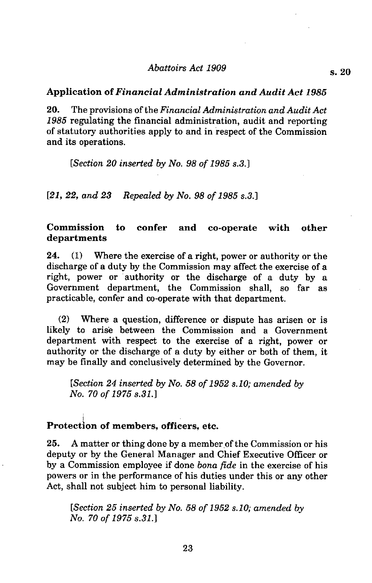s. 20

#### Application of *Financial Administration and Audit Act 1985*

20. The provisions of the *Financial Administration and Audit Act 1985* regulating the financial administration, audit and reporting of statutory authorities apply to and in respect of the Commission and its operations.

*[Section 20 inserted by No. 98 of 1985 8.3.]*

*[21, 22, and 23 Repealed by No. 98 of 1985 s.3.]*

#### **Commission to confer** and co-operate with other departments

**24.** (1) Where the exercise of a right, power or authority or the discharge of a duty by the Commission may affect the exercise of a right, power or authority or the discharge of a duty by a Government department, the Commission shall, so far as practicable, confer and co-operate with that department.

(2) Where a question, difference or dispute has arisen or is likely to arise between the Commission and a Government department with respect to the exercise of a right, power or authority or the discharge of a duty by either or both of them, it may be finally and conclusively determined by the Governor.

*[Section 24 inserted by No. 58 of 1952 s.10; amended by No. 70 of 1975 s.31.]*

#### Protection of members, officers, etc.

25. A matter or thing done by a member of the Commission or his deputy or by the General Manager and Chief Executive Officer or by a Commission employee if done *bona fide* in the exercise of his powers or in the performance of his duties under this or any other Act, shall not subject him to personal liability.

*[Section 25 inserted by No. 58 of 1952 s.10; amended by No. 70 of 1975 s.31.]*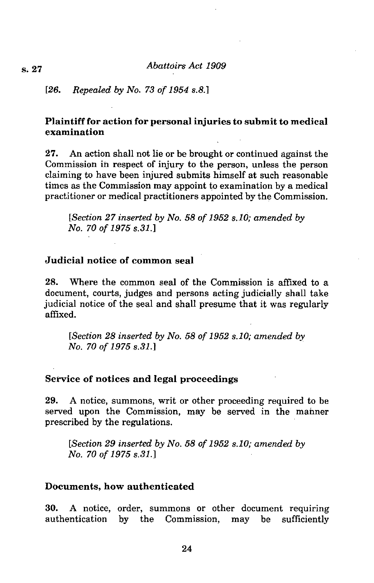*[26. Repealed by No. 73 of 1954 s.8.]*

#### Plaintiff for action for personal injuries to submit to medical examination

27. An action shall not lie or be brought or continued against the Commission in respect of injury to the person, unless the person claiming to have been injured submits himself at such reasonable times as the Commission may appoint to examination by a medical practitioner or medical practitioners appointed by the Commission.

*[Section 27 inserted by No. 58 of 1952 s.10; amended by No. 70 of 1975 s.31.]*

#### Judicial notice of common seal

28. Where the common seal of the Commission is affixed to a document, courts, judges and persons acting judicially shall take judicial notice of the seal and shall presume that it was regularly affixed.

*[Section 28 inserted by No. 58 of 1952 s.10; amended by No. 70 of 1975 s.31.]*

#### Service of notices and legal proceedings

29. A notice, summons, writ or other proceeding required to be served upon the Commission, may be served in the manner prescribed by the regulations.

*[Section 29 inserted by No. 58 of 1952 s.10; amended by No. 70 of 1975 s.31.]*

#### Documents, how authenticated

30. A notice, order, summons or other document requiring authentication by the Commission, may be sufficiently

s. 27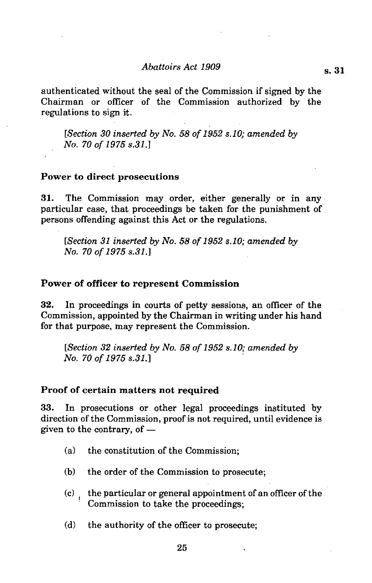*Abattoirs Act 1909*<br>he seal of the Comn authenticated without the seal of the Commission if signed by the Chairman or officer of the Commission authorized by the regulations to sign it.

*[Section 30 inserted by No. 58 of 1952 s.10; amended by No. 70 of 1975 s.31.]*

#### Power to direct prosecutions

31. The Commission may order, either generally or in any particular case, that proceedings be taken for the punishment of persons offending against this Act or the regulations.

*[Section 31 inserted by No. 58 of 1952 s.10; amended by No. 70 of 1975 s.31.*]

#### Power of officer to represent Commission

32. In proceedings in courts of petty sessions, an officer of the Commission, appointed by the Chairman in writing under his hand for that purpose, may represent the Commission.

*[Section 32 inserted by No. 58 of 1952 s.10; amended by No. 70* of *1975 s.31.]*

#### Proof of certain matters not required

33. In prosecutions or other legal proceedings instituted by direction of the Commission, proof is not required, until evidence is given to the contrary, of —

- (a) the constitution of the Commission;
- (b) the order of the Commission to prosecute;
- (c)  $_{\rm t}$  the particular or general appointment of an officer of the Commission to take the proceedings;
- (d) the authority of the officer to prosecute;

s. 31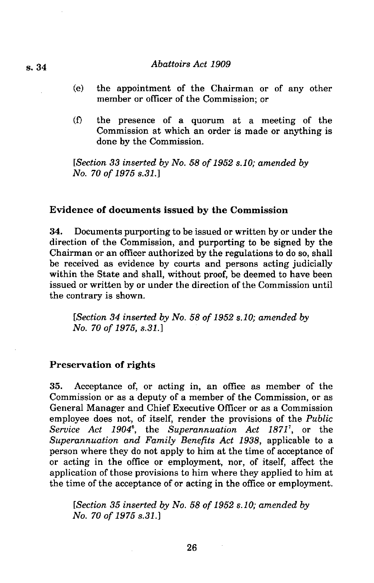- (e) the appointment of the Chairman or of any other member or officer of the Commission; or
- (0 the presence of a quorum at a meeting of the Commission at which an order is made or anything is done by the Commission.

*[Section 33 inserted by No. 58 of 1952 s.10; amended by No. 70 of 1975 s.31.*]

#### Evidence of documents **issued** by the Commission

34. Documents purporting to be issued or written by or under the direction of the Commission, and purporting to be signed by the Chairman or an officer authorized by the regulations to do so, shall be received as evidence by courts and persons acting judicially within the State and shall, without proof, be deemed to have been issued or written by or under the direction of the Commission until the contrary is shown.

*[Section 34 inserted by No. 58 of 1952 s.10; amended by No. 70* of *1975, 3.31.]*

#### Preservation of rights

35. Acceptance of, or acting in, an office as member of the Commission or as a deputy of a member of the Commission, or as General Manager and Chief Executive Officer or as a Commission employee does not, of itself, render the provisions of the *Public Service Act 1904',* the *Superannuation Act 1871',* or the *Superannuation and Family Benefits Act 1938,* applicable to a person where they do not apply to him at the time of acceptance of or acting in the office or employment, nor, of itself, affect the application of those provisions to him where they applied to him at the time of the acceptance of or acting in the office or employment.

*[Section 35 inserted by No. 58 of 1952 s.10; amended by No. 70 of 1975 s.31.]*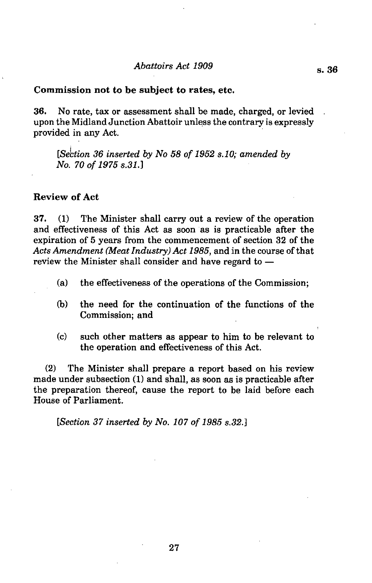#### Commission not to be subject to rates, etc.

36. No rate, tax or assessment shall be made, charged, or levied upon the Midland Junction Abattoir unless the contrary is expressly provided in any Act.

*[Section 36 inserted by No 58 of 1952 s.10; amended by No. 70 of 1975 s.31.1*

#### Review of Act

37. (1) The Minister shall carry out a review of the operation and effectiveness of this Act as soon as is practicable after the expiration of 5 years from the commencement of section 32 of the *Acts Amendment (Meat Industry) Act 1985,* and in the course of that review the Minister shall consider and have regard to —

- (a) the effectiveness of the operations of the Commission;
- (b) the need for the continuation of the functions of the Commission; and
- (c) such other matters as appear to him to be relevant to the operation and effectiveness of this Act.

(2) The Minister shall prepare a report based on his review made under subsection (1) and shall, as soon as is practicable after the preparation thereof, cause the report to be laid before each House of Parliament.

*[Section 37 inserted by No. 107 of 1985 s.32.)*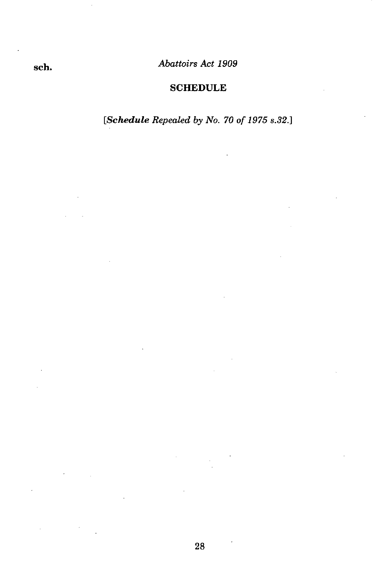#### SCHEDULE

*[Schedule Repealed by No. 70 of 1975 s.32.]*

sch. sch.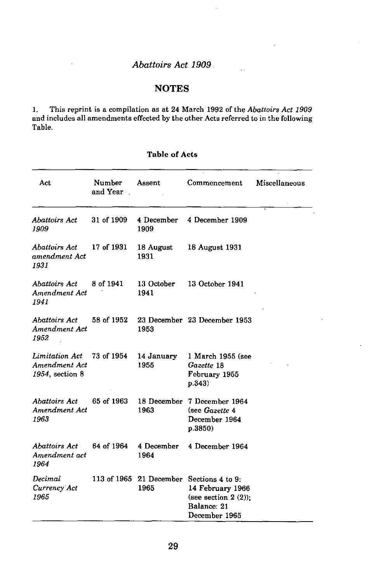#### **NOTES**

#### **Table of** Acts

| Abattoirs Act 1909                                 |                                                                                                                                                                    |                    |                                                                                                            |               |  |  |
|----------------------------------------------------|--------------------------------------------------------------------------------------------------------------------------------------------------------------------|--------------------|------------------------------------------------------------------------------------------------------------|---------------|--|--|
| <b>NOTES</b>                                       |                                                                                                                                                                    |                    |                                                                                                            |               |  |  |
| 1.<br>Table.                                       | This reprint is a compilation as at 24 March 1992 of the Abattoirs Act 1909<br>and includes all amendments effected by the other Acts referred to in the following |                    |                                                                                                            |               |  |  |
|                                                    |                                                                                                                                                                    | Table of Acts      |                                                                                                            |               |  |  |
| Act                                                | Number<br>and Year                                                                                                                                                 | Assent             | Commencement                                                                                               | Miscellaneous |  |  |
| Abattoirs Act<br>1909                              | 31 of 1909                                                                                                                                                         | 4 December<br>1909 | 4 December 1909                                                                                            |               |  |  |
| Abattoirs Act<br>amendment Act<br>1931             | 17 of 1931                                                                                                                                                         | 18 August<br>1931  | 18 August 1931                                                                                             |               |  |  |
| Abattoirs Act<br>Amendment Act<br>1941             | 8 of 1941                                                                                                                                                          | 13 October<br>1941 | 13 October 1941                                                                                            |               |  |  |
| Abattoirs Act<br>Amendment Act<br>1952             | 58 of 1952                                                                                                                                                         | 1953               | 23 December 23 December 1953                                                                               |               |  |  |
| Limitation Act<br>Amendment Act<br>1954, section 8 | 73 of 1954                                                                                                                                                         | 14 January<br>1955 | 1 March 1955 (see<br>Gazette 18<br>February 1955<br>p.343)                                                 |               |  |  |
| Abattoirs Act<br>Amendment Act<br>1963             | 65 of 1963                                                                                                                                                         | 1963               | 18 December 7 December 1964<br>(see Gazette 4<br>December 1964<br>p.3850)                                  |               |  |  |
| Abattoirs Act<br>Amendment act<br>1964             | 64 of 1964                                                                                                                                                         | 4 December<br>1964 | 4 December 1964                                                                                            |               |  |  |
| Decimal<br>Currency Act<br>1965                    | 113 of 1965                                                                                                                                                        | 1965               | 21 December Sections 4 to 9:<br>14 February 1966<br>(see section $2(2)$ );<br>Balance: 21<br>December 1965 |               |  |  |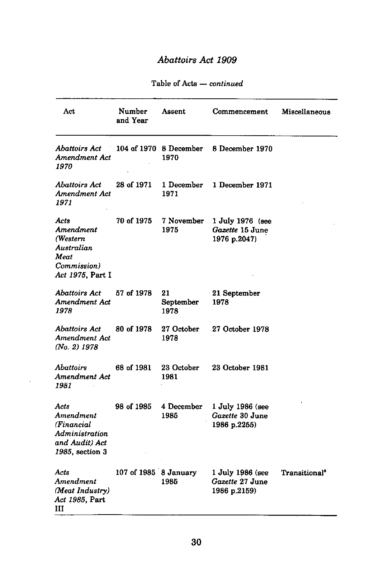#### Table of Acts — *continued*

|                                                                                                     |                       | <b>Abattoirs Act 1909</b>          |                                                     |               |
|-----------------------------------------------------------------------------------------------------|-----------------------|------------------------------------|-----------------------------------------------------|---------------|
|                                                                                                     |                       | Table of Acts $-$ continued        |                                                     |               |
| Act                                                                                                 | Number<br>and Year    | Assent                             | Commencement                                        | Miscellaneous |
| Abattoirs Act<br><b>Amendment Act</b><br>1970                                                       |                       | $104$ of 1970 $8$ December<br>1970 | 8 December 1970                                     |               |
| Abattoirs Act<br><b>Amendment Act</b><br>1971                                                       | 28 of 1971            | 1 December<br>1971                 | 1 December 1971                                     |               |
| Acts<br>Amendment<br><i><b>Western</b></i><br>Australian<br>Meat<br>Commission)<br>Act 1975, Part I | 70 of 1975            | 7 November<br>1975                 | 1 July 1976 (see<br>Gazette 15 June<br>1976 p.2047) |               |
| <b>Abattoirs Act</b><br>Amendment Act<br>1978                                                       | 57 of 1978            | 21<br>September<br>1978            | 21 September<br>1978                                |               |
| Abattoirs Act<br>Amendment Act<br>$(No. 2)$ 1978                                                    | 80 of 1978            | 27 October<br>1978                 | 27 October 1978                                     |               |
| Abattoirs<br>Amendment Act<br>1981                                                                  | 68 of 1981            | 23 October<br>1981                 | 23 October 1981                                     |               |
| Acts<br>Amendment<br>(Financial<br>Administration<br>and Audit) Act<br>1985, section 3              | 98 of 1985            | 4 December<br>1985                 | 1 July 1986 (see<br>Gazette 30 June<br>1986 p.2255) |               |
| Acts<br>Amendment<br>(Meat Industry)<br>Act 1985, Part<br>Ш                                         | 107 of 1985 8 January | 1985                               | 1 July 1986 (see<br>Gazette 27 June<br>1986 p.2159) | Transitional' |

 $\ddot{\phantom{a}}$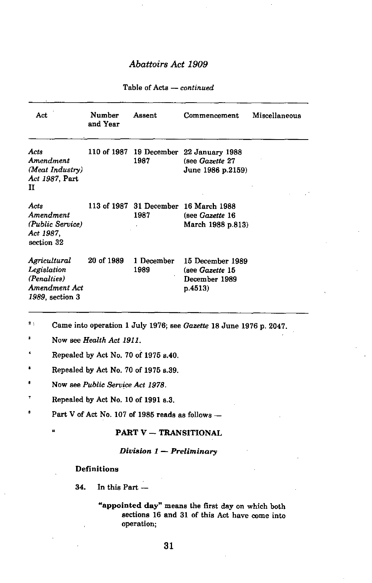|                                                                                |                                                                          |                          | <i><b>Abattoirs Act 1909</b></i>                 |                                                                                                    |               |  |
|--------------------------------------------------------------------------------|--------------------------------------------------------------------------|--------------------------|--------------------------------------------------|----------------------------------------------------------------------------------------------------|---------------|--|
|                                                                                |                                                                          |                          |                                                  |                                                                                                    |               |  |
|                                                                                |                                                                          |                          | Table of Acts — continued                        |                                                                                                    |               |  |
| Act                                                                            |                                                                          | Number<br>and Year       | Assent                                           | Commencement                                                                                       | Miscellaneous |  |
| Acts<br>п                                                                      | Amendment<br>(Meat Industry)<br>Act 1987, Part                           |                          | 1987                                             | 110 of 1987 19 December 22 January 1988<br>(see Gazette 27<br>June 1986 p.2159)                    |               |  |
| Acts<br>Amendment<br>(Public Service)<br>Act 1987,<br>section 32               |                                                                          |                          | 1987                                             | 113 of 1987 31 December 16 March 1988<br>(see Gazette 16<br>March 1988 p.813)                      |               |  |
| Agricultural<br>Legislation<br>(Penalties)<br>Amendment Act<br>1989, section 3 |                                                                          | 20 of 1989               | 1 December<br>1989                               | 15 December 1989<br>(see Gazette 15<br>December 1989<br>p.4513)                                    |               |  |
| 2 <sub>1</sub>                                                                 |                                                                          |                          |                                                  | Came into operation 1 July 1976; see Gazette 18 June 1976 p. 2047.                                 |               |  |
| 3                                                                              |                                                                          | Now see Health Act 1911. |                                                  |                                                                                                    |               |  |
|                                                                                |                                                                          |                          | Repealed by Act No. 70 of 1975 s.40.             |                                                                                                    |               |  |
| 5                                                                              |                                                                          |                          |                                                  |                                                                                                    |               |  |
| 6                                                                              | Repealed by Act No. 70 of 1975 s.39.<br>Now see Public Service Act 1978. |                          |                                                  |                                                                                                    |               |  |
| 7                                                                              | Repealed by Act No. 10 of 1991 s.3.                                      |                          |                                                  |                                                                                                    |               |  |
| ٥                                                                              |                                                                          |                          | Part V of Act No. 107 of 1985 reads as follows — |                                                                                                    |               |  |
|                                                                                | 66<br><b>PART V - TRANSITIONAL</b>                                       |                          |                                                  |                                                                                                    |               |  |
|                                                                                |                                                                          |                          | Division $1$ - Preliminary                       |                                                                                                    |               |  |
|                                                                                |                                                                          | <b>Definitions</b>       |                                                  |                                                                                                    |               |  |
|                                                                                | In this Part -<br>34.                                                    |                          |                                                  |                                                                                                    |               |  |
|                                                                                |                                                                          |                          |                                                  |                                                                                                    |               |  |
|                                                                                |                                                                          |                          | operation;                                       | "appointed day" means the first day on which both<br>sections 16 and 31 of this Act have come into |               |  |

l.

 $\Delta \sim 1$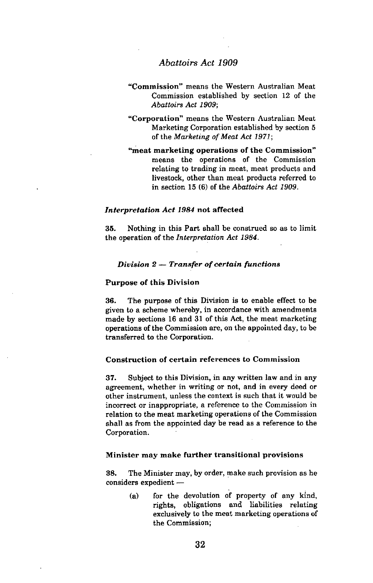- "Commission" means the Western Australian Meat Commission established by section 12 of the *Abattoirs Act 1909;*
- "Corporation" means the Western Australian Meat Marketing Corporation established by section 5 of the *Marketing of Meat Act 1971;*
- "meat marketing operations of the Commission" means the operations of the Commission relating to trading in meat, meat products and livestock, other than meat products referred to in section 15 (6) of the *Abattoirs Act 1909.*

#### *Interpretation Act 1984* not affected

35. Nothing in this Part shall be construed so as to limit the operation of the *Interpretation Act 1984.*

#### *Division 2 — Transfer of certain functions*

#### **Purpose of this Division**

36. The purpose of this Division is to enable effect to be given to a scheme whereby, in accordance with amendments made by sections 16 and 31 of this Act, the meat marketing operations of the Commission are, on the appointed day, to be transferred to the Corporation.

#### Construction of certain references to Commission

37. Subject to this Division, in any written law and in any agreement, whether in writing or not, and in every deed or other instrument, unless the context is such that it would be incorrect or inappropriate, a reference to the Commission in relation to the meat marketing operations of the Commission shall as from the appointed day be read as a reference to the Corporation.

#### Minister may make further transitional provisions

38. The Minister may, by order, make such provision as he considers expedient

> *(a)* for the devolution of property of any kind, rights, obligations and liabilities relating exclusively to the meat marketing operations of the Commission;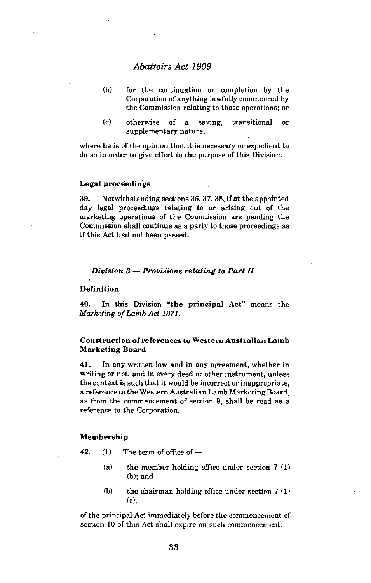- (b) for the continuation or completion by the Corporation of anything lawfully commenced by the Commission relating to those operations; or
- (c) otherwise of a saving, transitional or supplementary nature,

where he is of the opinion that it is necessary or expedient to do so in order to give effect to the purpose of this Division.

#### Legal proceedings

39. Notwithstanding sections 36, 37, 38, if at the appointed day legal proceedings relating to or arising out of the marketing operations of the Commission are pending the Commission shall continue as a party to those proceedings as if this Act had not been passed.

#### *Division 3 — Provisions relating to Part II*

#### Definition

40. In this Division "the principal Act" means the *Marketing of Lamb Act 1971.*

#### **Construction of references** to Western Australian Lamb Marketing Board

41. In any written law and in any agreement, whether in writing or not, and in every deed or other instrument, unless the context is such that it would be incorrect or inappropriate, a reference to the Western Australian Lamb Marketing Board, as from the commencement of section 9, shall be read as a reference to the Corporation.

#### Membership

- 42. (1) The term of office of  $-$ 
	- (a) the member holding office under section 7 (1) (b); and
	- (b) the chairman holding office under section 7 (1) (c),

of the principal Act immediately before the commencement of section 10 of this Act shall expire on such commencement.